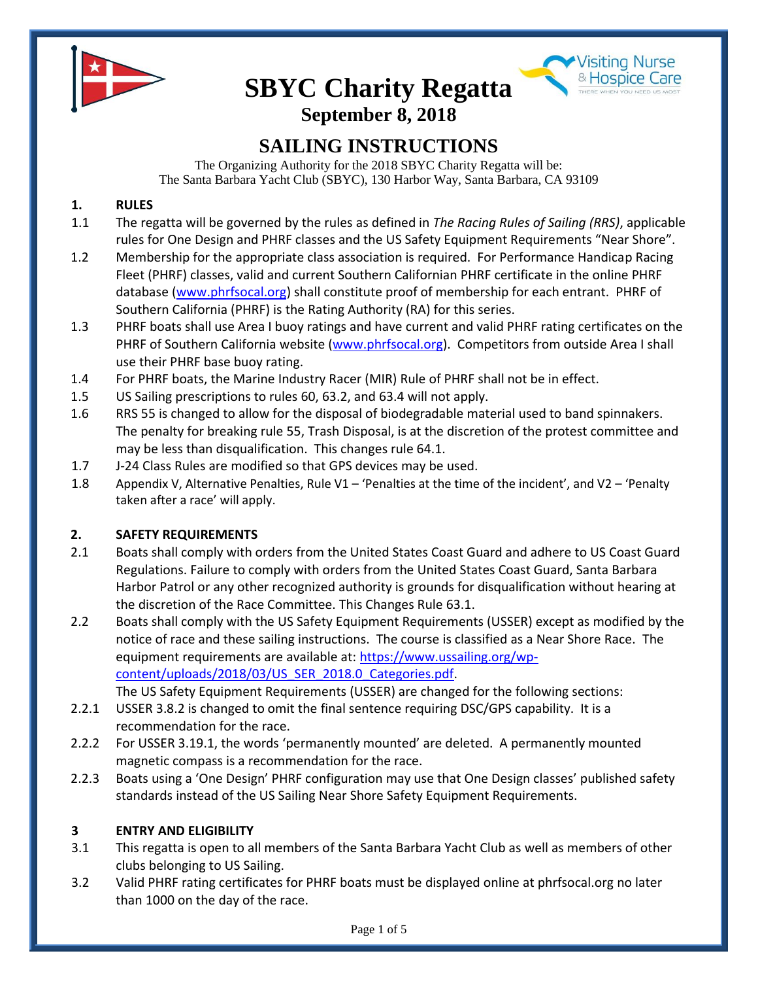

# **SBYC Charity Regatta**



**September 8, 2018**

## **SAILING INSTRUCTIONS**

The Organizing Authority for the 2018 SBYC Charity Regatta will be: The Santa Barbara Yacht Club (SBYC), 130 Harbor Way, Santa Barbara, CA 93109

## **1. RULES**

- 1.1 The regatta will be governed by the rules as defined in *The Racing Rules of Sailing (RRS)*, applicable rules for One Design and PHRF classes and the US Safety Equipment Requirements "Near Shore".
- 1.2 Membership for the appropriate class association is required. For Performance Handicap Racing Fleet (PHRF) classes, valid and current Southern Californian PHRF certificate in the online PHRF database [\(www.phrfsocal.org\)](http://www.phrfsocal.org/) shall constitute proof of membership for each entrant. PHRF of Southern California (PHRF) is the Rating Authority (RA) for this series.
- 1.3 PHRF boats shall use Area I buoy ratings and have current and valid PHRF rating certificates on the PHRF of Southern California website [\(www.phrfsocal.org\)](http://www.phrfsocal.org/). Competitors from outside Area I shall use their PHRF base buoy rating.
- 1.4 For PHRF boats, the Marine Industry Racer (MIR) Rule of PHRF shall not be in effect.
- 1.5 US Sailing prescriptions to rules 60, 63.2, and 63.4 will not apply.
- 1.6 RRS 55 is changed to allow for the disposal of biodegradable material used to band spinnakers. The penalty for breaking rule 55, Trash Disposal, is at the discretion of the protest committee and may be less than disqualification. This changes rule 64.1.
- 1.7 J-24 Class Rules are modified so that GPS devices may be used.
- 1.8 Appendix V, Alternative Penalties, Rule V1 'Penalties at the time of the incident', and V2 'Penalty taken after a race' will apply.

## **2. SAFETY REQUIREMENTS**

- 2.1 Boats shall comply with orders from the United States Coast Guard and adhere to US Coast Guard Regulations. Failure to comply with orders from the United States Coast Guard, Santa Barbara Harbor Patrol or any other recognized authority is grounds for disqualification without hearing at the discretion of the Race Committee. This Changes Rule 63.1.
- 2.2 Boats shall comply with the US Safety Equipment Requirements (USSER) except as modified by the notice of race and these sailing instructions. The course is classified as a Near Shore Race. The equipment requirements are available at: https://www.ussailing.org/wpcontent/uploads/2018/03/US\_SER\_2018.0\_Categories.pdf.

The US Safety Equipment Requirements (USSER) are changed for the following sections:

- 2.2.1 USSER 3.8.2 is changed to omit the final sentence requiring DSC/GPS capability. It is a recommendation for the race.
- 2.2.2 For USSER 3.19.1, the words 'permanently mounted' are deleted. A permanently mounted magnetic compass is a recommendation for the race.
- 2.2.3 Boats using a 'One Design' PHRF configuration may use that One Design classes' published safety standards instead of the US Sailing Near Shore Safety Equipment Requirements.

## **3 ENTRY AND ELIGIBILITY**

- 3.1 This regatta is open to all members of the Santa Barbara Yacht Club as well as members of other clubs belonging to US Sailing.
- 3.2 Valid PHRF rating certificates for PHRF boats must be displayed online at phrfsocal.org no later than 1000 on the day of the race.

Page 1 of 5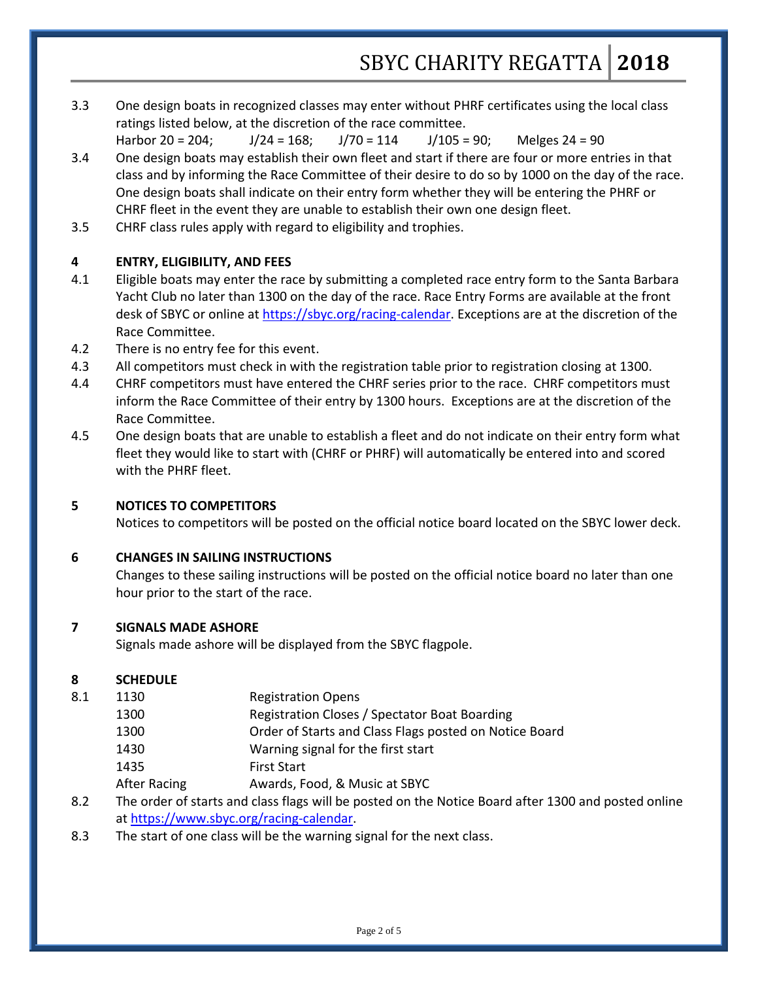- 3.3 One design boats in recognized classes may enter without PHRF certificates using the local class ratings listed below, at the discretion of the race committee.
- Harbor 20 = 204;  $J/24 = 168$ ;  $J/70 = 114$   $J/105 = 90$ ; Melges 24 = 90 3.4 One design boats may establish their own fleet and start if there are four or more entries in that class and by informing the Race Committee of their desire to do so by 1000 on the day of the race. One design boats shall indicate on their entry form whether they will be entering the PHRF or CHRF fleet in the event they are unable to establish their own one design fleet.
- 3.5 CHRF class rules apply with regard to eligibility and trophies.

### **4 ENTRY, ELIGIBILITY, AND FEES**

- 4.1 Eligible boats may enter the race by submitting a completed race entry form to the Santa Barbara Yacht Club no later than 1300 on the day of the race. Race Entry Forms are available at the front desk of SBYC or online at [https://sbyc.org/racing-calendar.](https://sbyc.org/racing-calendar) Exceptions are at the discretion of the Race Committee.
- 4.2 There is no entry fee for this event.
- 4.3 All competitors must check in with the registration table prior to registration closing at 1300.
- 4.4 CHRF competitors must have entered the CHRF series prior to the race. CHRF competitors must inform the Race Committee of their entry by 1300 hours. Exceptions are at the discretion of the Race Committee.
- 4.5 One design boats that are unable to establish a fleet and do not indicate on their entry form what fleet they would like to start with (CHRF or PHRF) will automatically be entered into and scored with the PHRF fleet.

#### **5 NOTICES TO COMPETITORS**

Notices to competitors will be posted on the official notice board located on the SBYC lower deck.

#### **6 CHANGES IN SAILING INSTRUCTIONS**

Changes to these sailing instructions will be posted on the official notice board no later than one hour prior to the start of the race.

#### **7 SIGNALS MADE ASHORE**

Signals made ashore will be displayed from the SBYC flagpole.

#### **8 SCHEDULE**

- 8.1 1130 Registration Opens
	- 1300 Registration Closes / Spectator Boat Boarding
		- 1300 Order of Starts and Class Flags posted on Notice Board
		- 1430 Warning signal for the first start
		- 1435 First Start
	- After Racing **Awards, Food, & Music at SBYC**
- 8.2 The order of starts and class flags will be posted on the Notice Board after 1300 and posted online a[t https://www.sbyc.org/racing-calendar.](https://www.sbyc.org/racing-calendar)
- 8.3 The start of one class will be the warning signal for the next class.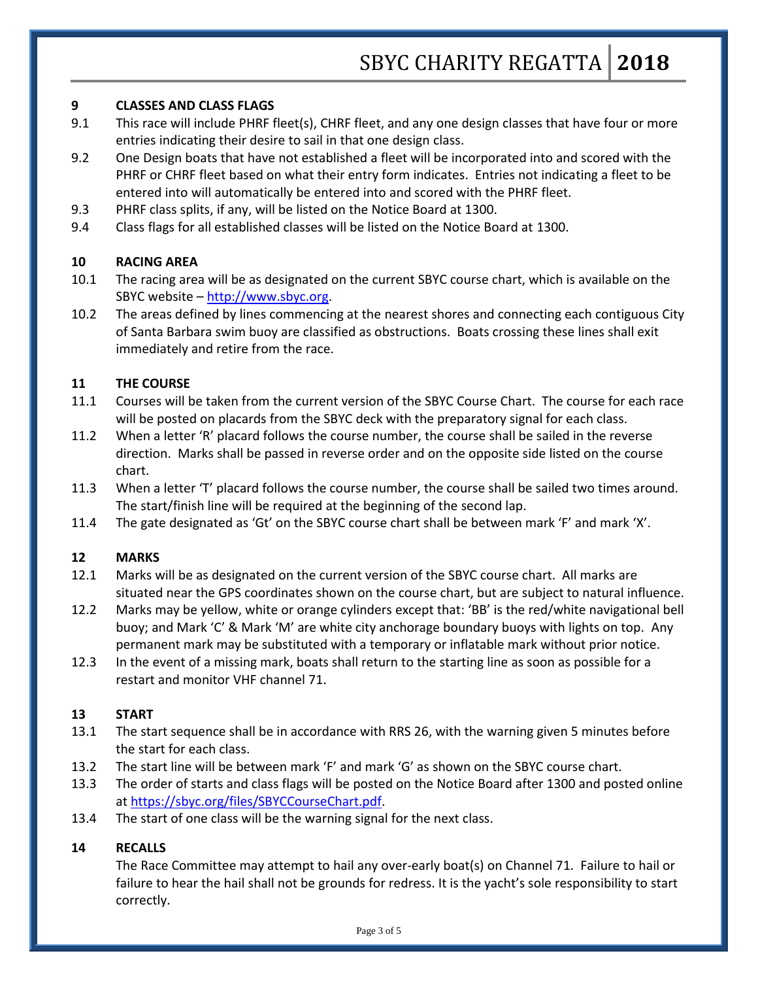#### **9 CLASSES AND CLASS FLAGS**

- 9.1 This race will include PHRF fleet(s), CHRF fleet, and any one design classes that have four or more entries indicating their desire to sail in that one design class.
- 9.2 One Design boats that have not established a fleet will be incorporated into and scored with the PHRF or CHRF fleet based on what their entry form indicates. Entries not indicating a fleet to be entered into will automatically be entered into and scored with the PHRF fleet.
- 9.3 PHRF class splits, if any, will be listed on the Notice Board at 1300.
- 9.4 Class flags for all established classes will be listed on the Notice Board at 1300.

#### **10 RACING AREA**

- 10.1 The racing area will be as designated on the current SBYC course chart, which is available on the SBYC website – [http://www.sbyc.org.](http://www.sbyc.org/)
- 10.2 The areas defined by lines commencing at the nearest shores and connecting each contiguous City of Santa Barbara swim buoy are classified as obstructions. Boats crossing these lines shall exit immediately and retire from the race.

#### **11 THE COURSE**

- 11.1 Courses will be taken from the current version of the SBYC Course Chart. The course for each race will be posted on placards from the SBYC deck with the preparatory signal for each class.
- 11.2 When a letter 'R' placard follows the course number, the course shall be sailed in the reverse direction. Marks shall be passed in reverse order and on the opposite side listed on the course chart.
- 11.3 When a letter 'T' placard follows the course number, the course shall be sailed two times around. The start/finish line will be required at the beginning of the second lap.
- 11.4 The gate designated as 'Gt' on the SBYC course chart shall be between mark 'F' and mark 'X'.

#### **12 MARKS**

- 12.1 Marks will be as designated on the current version of the SBYC course chart. All marks are situated near the GPS coordinates shown on the course chart, but are subject to natural influence.
- 12.2 Marks may be yellow, white or orange cylinders except that: 'BB' is the red/white navigational bell buoy; and Mark 'C' & Mark 'M' are white city anchorage boundary buoys with lights on top. Any permanent mark may be substituted with a temporary or inflatable mark without prior notice.
- 12.3 In the event of a missing mark, boats shall return to the starting line as soon as possible for a restart and monitor VHF channel 71.

#### **13 START**

- 13.1 The start sequence shall be in accordance with RRS 26, with the warning given 5 minutes before the start for each class.
- 13.2 The start line will be between mark 'F' and mark 'G' as shown on the SBYC course chart.
- 13.3 The order of starts and class flags will be posted on the Notice Board after 1300 and posted online at [https://sbyc.org/files/SBYCCourseChart.pdf.](https://sbyc.org/files/SBYCCourseChart.pdf)
- 13.4 The start of one class will be the warning signal for the next class.

#### **14 RECALLS**

The Race Committee may attempt to hail any over-early boat(s) on Channel 71. Failure to hail or failure to hear the hail shall not be grounds for redress. It is the yacht's sole responsibility to start correctly.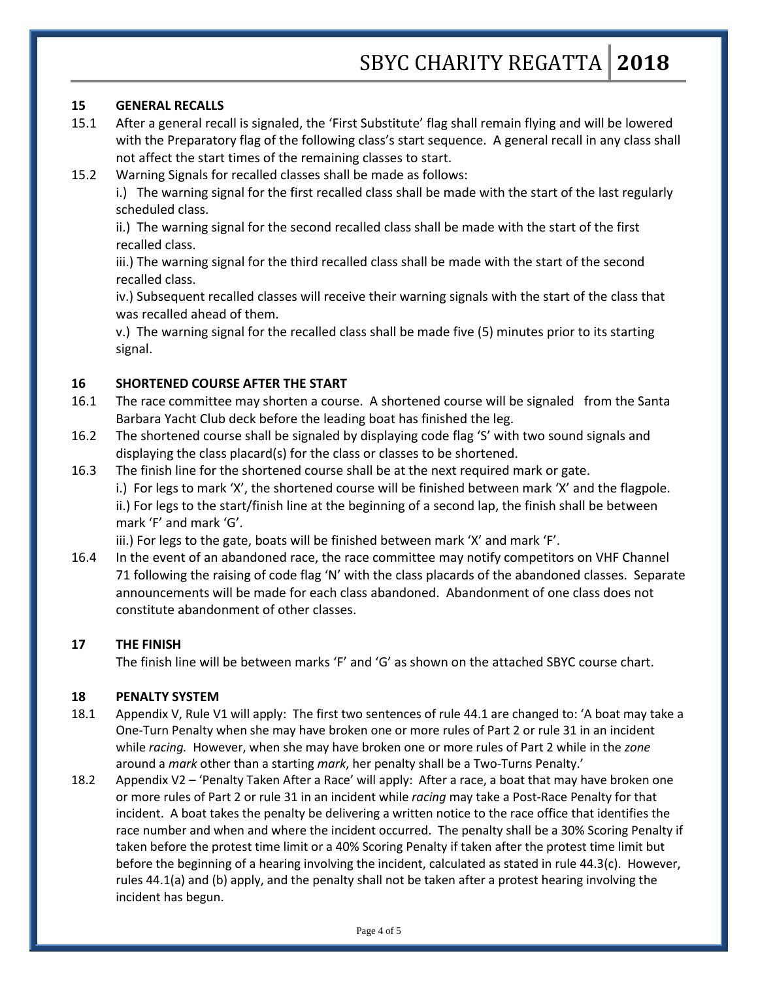#### **15 GENERAL RECALLS**

- 15.1 After a general recall is signaled, the 'First Substitute' flag shall remain flying and will be lowered with the Preparatory flag of the following class's start sequence. A general recall in any class shall not affect the start times of the remaining classes to start.
- 15.2 Warning Signals for recalled classes shall be made as follows:

i.) The warning signal for the first recalled class shall be made with the start of the last regularly scheduled class.

ii.) The warning signal for the second recalled class shall be made with the start of the first recalled class.

iii.) The warning signal for the third recalled class shall be made with the start of the second recalled class.

iv.) Subsequent recalled classes will receive their warning signals with the start of the class that was recalled ahead of them.

v.) The warning signal for the recalled class shall be made five (5) minutes prior to its starting signal.

#### **16 SHORTENED COURSE AFTER THE START**

- 16.1 The race committee may shorten a course. A shortened course will be signaled from the Santa Barbara Yacht Club deck before the leading boat has finished the leg.
- 16.2 The shortened course shall be signaled by displaying code flag 'S' with two sound signals and displaying the class placard(s) for the class or classes to be shortened.
- 16.3 The finish line for the shortened course shall be at the next required mark or gate.

i.) For legs to mark 'X', the shortened course will be finished between mark 'X' and the flagpole. ii.) For legs to the start/finish line at the beginning of a second lap, the finish shall be between mark 'F' and mark 'G'.

iii.) For legs to the gate, boats will be finished between mark 'X' and mark 'F'.

16.4 In the event of an abandoned race, the race committee may notify competitors on VHF Channel 71 following the raising of code flag 'N' with the class placards of the abandoned classes. Separate announcements will be made for each class abandoned. Abandonment of one class does not constitute abandonment of other classes.

#### **17 THE FINISH**

The finish line will be between marks 'F' and 'G' as shown on the attached SBYC course chart.

#### **18 PENALTY SYSTEM**

- 18.1 Appendix V, Rule V1 will apply: The first two sentences of rule 44.1 are changed to: 'A boat may take a One-Turn Penalty when she may have broken one or more rules of Part 2 or rule 31 in an incident while *racing.* However, when she may have broken one or more rules of Part 2 while in the *zone* around a *mark* other than a starting *mark*, her penalty shall be a Two-Turns Penalty.'
- 18.2 Appendix V2 'Penalty Taken After a Race' will apply: After a race, a boat that may have broken one or more rules of Part 2 or rule 31 in an incident while *racing* may take a Post-Race Penalty for that incident. A boat takes the penalty be delivering a written notice to the race office that identifies the race number and when and where the incident occurred. The penalty shall be a 30% Scoring Penalty if taken before the protest time limit or a 40% Scoring Penalty if taken after the protest time limit but before the beginning of a hearing involving the incident, calculated as stated in rule 44.3(c). However, rules 44.1(a) and (b) apply, and the penalty shall not be taken after a protest hearing involving the incident has begun.